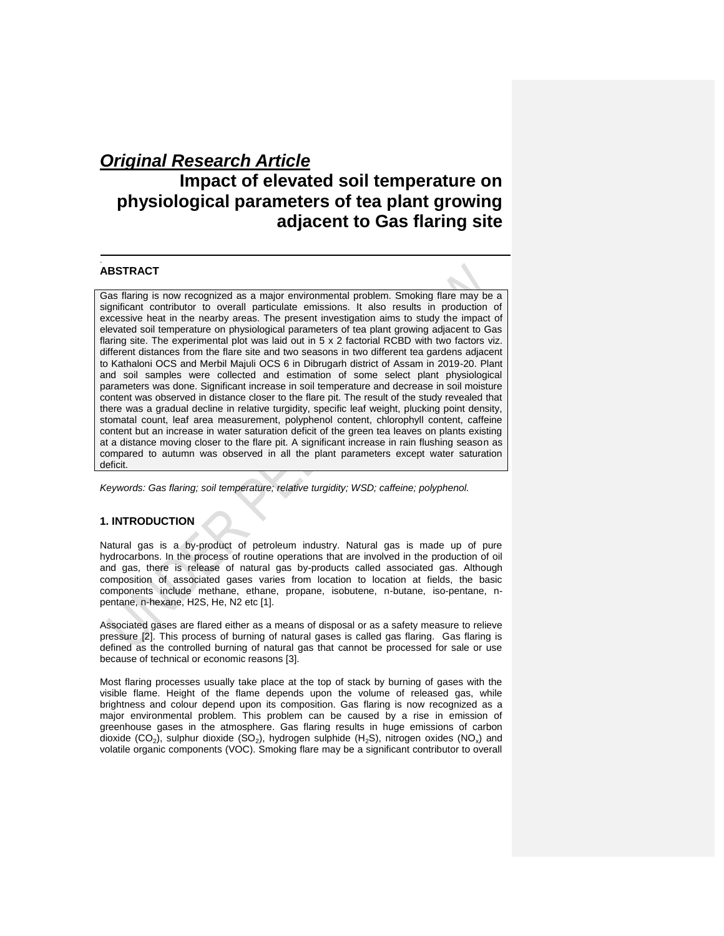# *Original Research Article*

# **Impact of elevated soil temperature on physiological parameters of tea plant growing adjacent to Gas flaring site**

# **ABSTRACT**

.

Gas flaring is now recognized as a major environmental problem. Smoking flare may be a significant contributor to overall particulate emissions. It also results in production of excessive heat in the nearby areas. The present investigation aims to study the impact of elevated soil temperature on physiological parameters of tea plant growing adjacent to Gas flaring site. The experimental plot was laid out in 5 x 2 factorial RCBD with two factors viz. different distances from the flare site and two seasons in two different tea gardens adjacent to Kathaloni OCS and Merbil Majuli OCS 6 in Dibrugarh district of Assam in 2019-20. Plant and soil samples were collected and estimation of some select plant physiological parameters was done. Significant increase in soil temperature and decrease in soil moisture content was observed in distance closer to the flare pit. The result of the study revealed that there was a gradual decline in relative turgidity, specific leaf weight, plucking point density, stomatal count, leaf area measurement, polyphenol content, chlorophyll content, caffeine content but an increase in water saturation deficit of the green tea leaves on plants existing at a distance moving closer to the flare pit. A significant increase in rain flushing season as compared to autumn was observed in all the plant parameters except water saturation deficit.

*Keywords: Gas flaring; soil temperature; relative turgidity; WSD; caffeine; polyphenol.*

# **1. INTRODUCTION**

Natural gas is a by-product of petroleum industry. Natural gas is made up of pure hydrocarbons. In the process of routine operations that are involved in the production of oil and gas, there is release of natural gas by-products called associated gas. Although composition of associated gases varies from location to location at fields, the basic components include methane, ethane, propane, isobutene, n-butane, iso-pentane, npentane, n-hexane, H2S, He, N2 etc [1].

Associated gases are flared either as a means of disposal or as a safety measure to relieve pressure [2]. This process of burning of natural gases is called gas flaring. Gas flaring is defined as the controlled burning of natural gas that cannot be processed for sale or use because of technical or economic reasons [3].

Most flaring processes usually take place at the top of stack by burning of gases with the visible flame. Height of the flame depends upon the volume of released gas, while brightness and colour depend upon its composition. Gas flaring is now recognized as a major environmental problem. This problem can be caused by a rise in emission of greenhouse gases in the atmosphere. Gas flaring results in huge emissions of carbon dioxide (CO<sub>2</sub>), sulphur dioxide (SO<sub>2</sub>), hydrogen sulphide (H<sub>2</sub>S), nitrogen oxides (NO<sub>x</sub>) and volatile organic components (VOC). Smoking flare may be a significant contributor to overall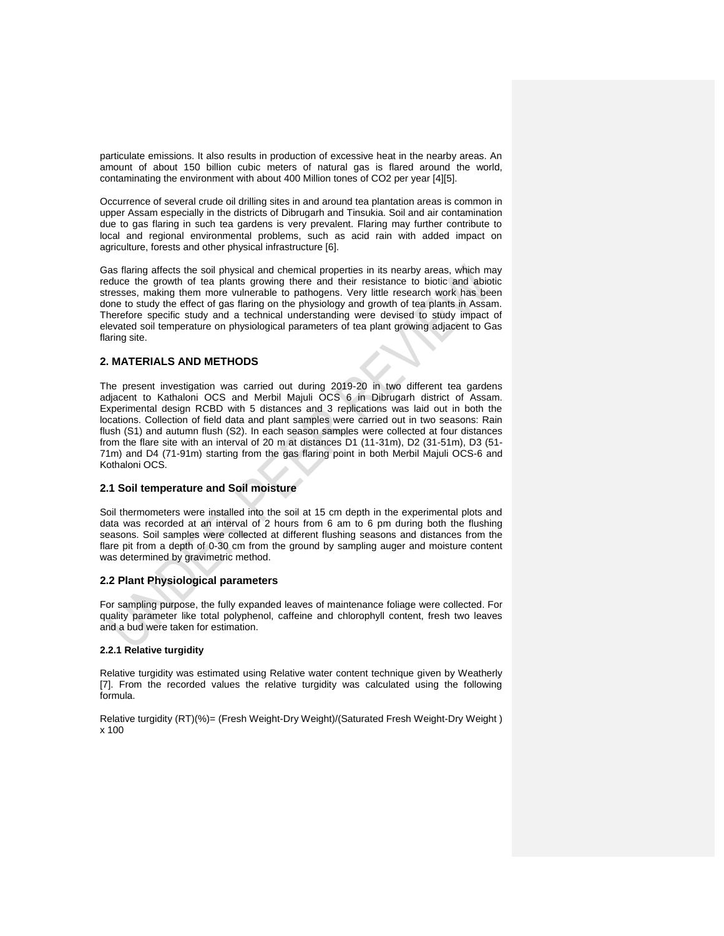particulate emissions. It also results in production of excessive heat in the nearby areas. An amount of about 150 billion cubic meters of natural gas is flared around the world, contaminating the environment with about 400 Million tones of CO2 per year [4][5].

Occurrence of several crude oil drilling sites in and around tea plantation areas is common in upper Assam especially in the districts of Dibrugarh and Tinsukia. Soil and air contamination due to gas flaring in such tea gardens is very prevalent. Flaring may further contribute to local and regional environmental problems, such as acid rain with added impact on agriculture, forests and other physical infrastructure [6].

Gas flaring affects the soil physical and chemical properties in its nearby areas, which may reduce the growth of tea plants growing there and their resistance to biotic and abiotic stresses, making them more vulnerable to pathogens. Very little research work has been done to study the effect of gas flaring on the physiology and growth of tea plants in Assam. Therefore specific study and a technical understanding were devised to study impact of elevated soil temperature on physiological parameters of tea plant growing adjacent to Gas flaring site.

### **2. MATERIALS AND METHODS**

The present investigation was carried out during 2019-20 in two different tea gardens adjacent to Kathaloni OCS and Merbil Majuli OCS 6 in Dibrugarh district of Assam. Experimental design RCBD with 5 distances and 3 replications was laid out in both the locations. Collection of field data and plant samples were carried out in two seasons: Rain flush (S1) and autumn flush (S2). In each season samples were collected at four distances from the flare site with an interval of 20 m at distances D1 (11-31m), D2 (31-51m), D3 (51- 71m) and D4 (71-91m) starting from the gas flaring point in both Merbil Majuli OCS-6 and Kothaloni OCS.

### **2.1 Soil temperature and Soil moisture**

Soil thermometers were installed into the soil at 15 cm depth in the experimental plots and data was recorded at an interval of 2 hours from 6 am to 6 pm during both the flushing seasons. Soil samples were collected at different flushing seasons and distances from the flare pit from a depth of 0-30 cm from the ground by sampling auger and moisture content was determined by gravimetric method.

## **2.2 Plant Physiological parameters**

For sampling purpose, the fully expanded leaves of maintenance foliage were collected. For quality parameter like total polyphenol, caffeine and chlorophyll content, fresh two leaves and a bud were taken for estimation.

# **2.2.1 Relative turgidity**

Relative turgidity was estimated using Relative water content technique given by Weatherly [7]. From the recorded values the relative turgidity was calculated using the following formula.

Relative turgidity (RT)(%)= (Fresh Weight-Dry Weight)/(Saturated Fresh Weight-Dry Weight ) x 100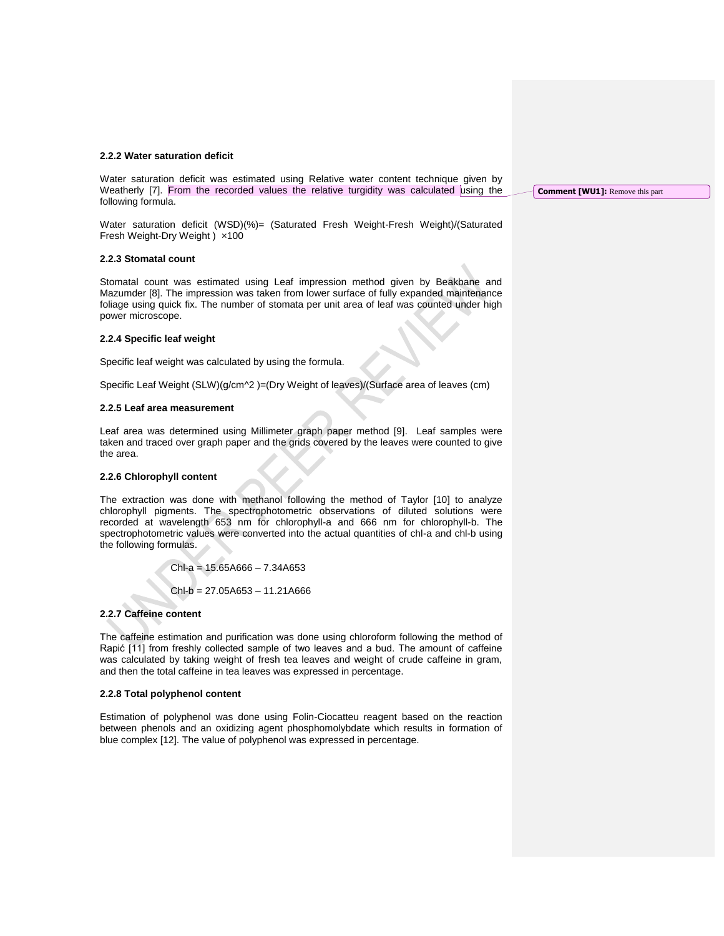#### **2.2.2 Water saturation deficit**

Water saturation deficit was estimated using Relative water content technique given by Weatherly [7]. From the recorded values the relative turgidity was calculated using the following formula.

Water saturation deficit (WSD)(%)= (Saturated Fresh Weight-Fresh Weight)/(Saturated Fresh Weight-Dry Weight )  $\times$ 100

#### **2.2.3 Stomatal count**

Stomatal count was estimated using Leaf impression method given by Beakbane and Mazumder [8]. The impression was taken from lower surface of fully expanded maintenance foliage using quick fix. The number of stomata per unit area of leaf was counted under high power microscope.

#### **2.2.4 Specific leaf weight**

Specific leaf weight was calculated by using the formula.

Specific Leaf Weight (SLW)(g/cm^2 )=(Dry Weight of leaves)/(Surface area of leaves (cm)

#### **2.2.5 Leaf area measurement**

Leaf area was determined using Millimeter graph paper method [9]. Leaf samples were taken and traced over graph paper and the grids covered by the leaves were counted to give the area.

#### **2.2.6 Chlorophyll content**

The extraction was done with methanol following the method of Taylor [10] to analyze chlorophyll pigments. The spectrophotometric observations of diluted solutions were recorded at wavelength 653 nm for chlorophyll-a and 666 nm for chlorophyll-b. The spectrophotometric values were converted into the actual quantities of chl-a and chl-b using the following formulas.

 $ChI-a = 15.65A666 - 7.34A653$ 

Chl-b = 27.05A653 – 11.21A666

#### **2.2.7 Caffeine content**

The caffeine estimation and purification was done using chloroform following the method of Rapić [11] from freshly collected sample of two leaves and a bud. The amount of caffeine was calculated by taking weight of fresh tea leaves and weight of crude caffeine in gram, and then the total caffeine in tea leaves was expressed in percentage.

### **2.2.8 Total polyphenol content**

Estimation of polyphenol was done using Folin-Ciocatteu reagent based on the reaction between phenols and an oxidizing agent phosphomolybdate which results in formation of blue complex [12]. The value of polyphenol was expressed in percentage.

**Comment [WU1]:** Remove this part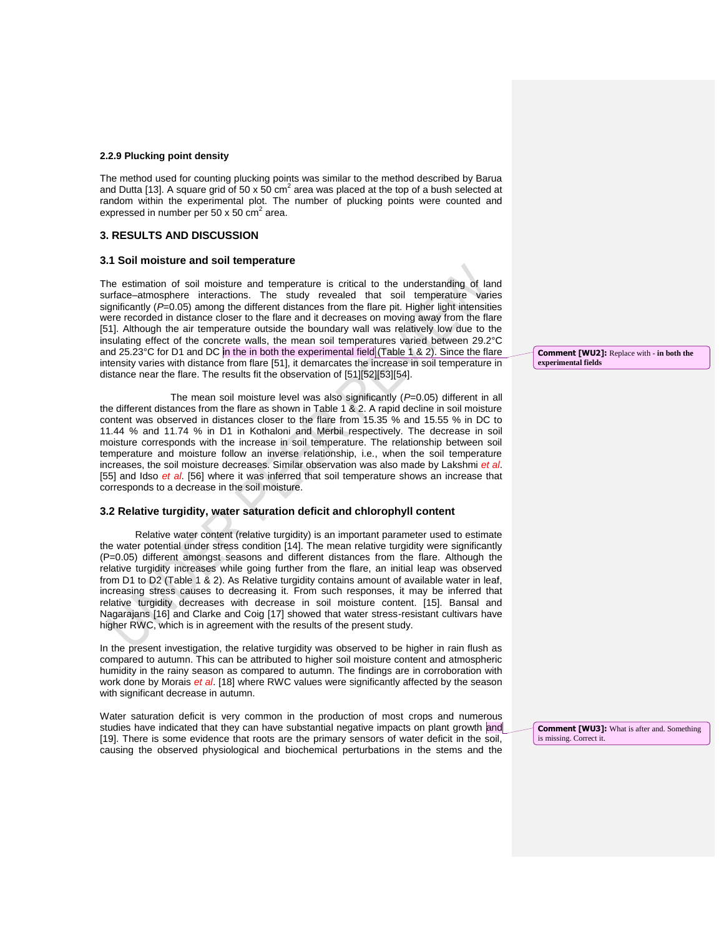### **2.2.9 Plucking point density**

The method used for counting plucking points was similar to the method described by Barua and Dutta [13]. A square grid of 50 x 50 cm<sup>2</sup> area was placed at the top of a bush selected at random within the experimental plot. The number of plucking points were counted and expressed in number per 50 x 50  $\text{cm}^2$  area.

# **3. RESULTS AND DISCUSSION**

#### **3.1 Soil moisture and soil temperature**

The estimation of soil moisture and temperature is critical to the understanding of land surface–atmosphere interactions. The study revealed that soil temperature varies significantly ( $P=0.05$ ) among the different distances from the flare pit. Higher light intensities were recorded in distance closer to the flare and it decreases on moving away from the flare [51]. Although the air temperature outside the boundary wall was relatively low due to the insulating effect of the concrete walls, the mean soil temperatures varied between 29.2°C and 25.23°C for D1 and DC in the in both the experimental field (Table 1 & 2). Since the flare intensity varies with distance from flare [51], it demarcates the increase in soil temperature in distance near the flare. The results fit the observation of [51][52][53][54].

The mean soil moisture level was also significantly (*P*=0.05) different in all the different distances from the flare as shown in Table 1 & 2. A rapid decline in soil moisture content was observed in distances closer to the flare from 15.35 % and 15.55 % in DC to 11.44 % and 11.74 % in D1 in Kothaloni and Merbil respectively. The decrease in soil moisture corresponds with the increase in soil temperature. The relationship between soil temperature and moisture follow an inverse relationship, i.e., when the soil temperature increases, the soil moisture decreases. Similar observation was also made by Lakshmi *et al*. [55] and Idso *et al*. [56] where it was inferred that soil temperature shows an increase that corresponds to a decrease in the soil moisture.

#### **3.2 Relative turgidity, water saturation deficit and chlorophyll content**

Relative water content (relative turgidity) is an important parameter used to estimate the water potential under stress condition [14]. The mean relative turgidity were significantly (P=0.05) different amongst seasons and different distances from the flare. Although the relative turgidity increases while going further from the flare, an initial leap was observed from D1 to D2 (Table 1 & 2). As Relative turgidity contains amount of available water in leaf, increasing stress causes to decreasing it. From such responses, it may be inferred that relative turgidity decreases with decrease in soil moisture content. [15]. Bansal and Nagarajans [16] and Clarke and Coig [17] showed that water stress-resistant cultivars have higher RWC, which is in agreement with the results of the present study.

In the present investigation, the relative turgidity was observed to be higher in rain flush as compared to autumn. This can be attributed to higher soil moisture content and atmospheric humidity in the rainy season as compared to autumn. The findings are in corroboration with work done by Morais *et al*. [18] where RWC values were significantly affected by the season with significant decrease in autumn.

Water saturation deficit is very common in the production of most crops and numerous studies have indicated that they can have substantial negative impacts on plant growth and [19]. There is some evidence that roots are the primary sensors of water deficit in the soil, causing the observed physiological and biochemical perturbations in the stems and the **Comment [WU2]:** Replace with - **in both the experimental fields**

**Comment [WU3]:** What is after and. Something is missing. Correct it.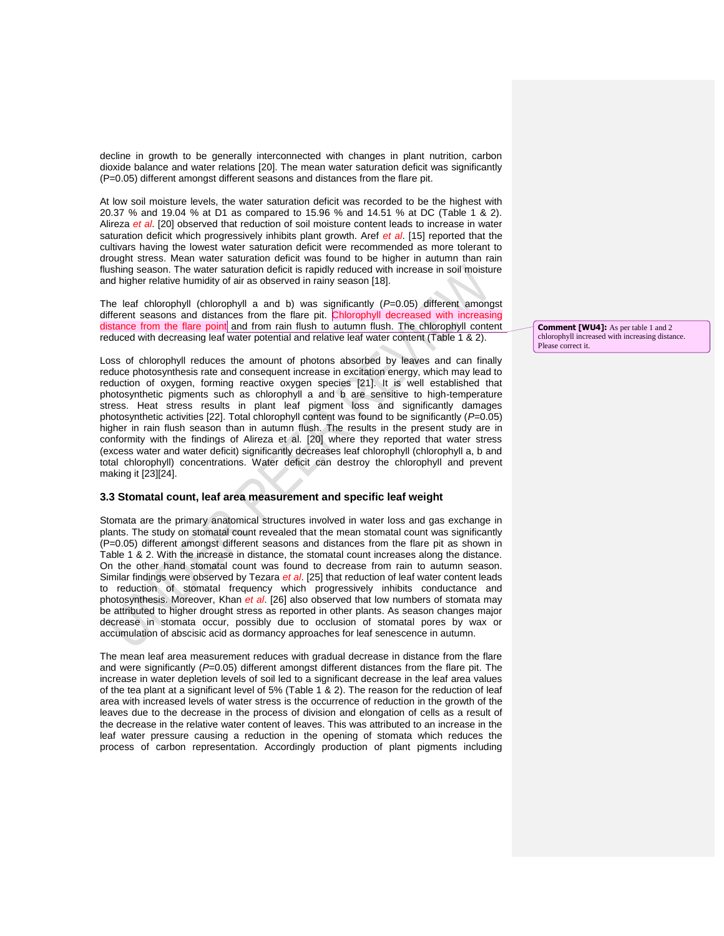decline in growth to be generally interconnected with changes in plant nutrition, carbon dioxide balance and water relations [20]. The mean water saturation deficit was significantly (P=0.05) different amongst different seasons and distances from the flare pit.

At low soil moisture levels, the water saturation deficit was recorded to be the highest with 20.37 % and 19.04 % at D1 as compared to 15.96 % and 14.51 % at DC (Table 1 & 2). Alireza *et al*. [20] observed that reduction of soil moisture content leads to increase in water saturation deficit which progressively inhibits plant growth. Aref *et al*. [15] reported that the cultivars having the lowest water saturation deficit were recommended as more tolerant to drought stress. Mean water saturation deficit was found to be higher in autumn than rain flushing season. The water saturation deficit is rapidly reduced with increase in soil moisture and higher relative humidity of air as observed in rainy season [18].

The leaf chlorophyll (chlorophyll a and b) was significantly (*P*=0.05) different amongst different seasons and distances from the flare pit. Chlorophyll decreased with increasing distance from the flare point and from rain flush to autumn flush. The chlorophyll content reduced with decreasing leaf water potential and relative leaf water content (Table 1 & 2).

Loss of chlorophyll reduces the amount of photons absorbed by leaves and can finally reduce photosynthesis rate and consequent increase in excitation energy, which may lead to reduction of oxygen, forming reactive oxygen species [21]. It is well established that photosynthetic pigments such as chlorophyll a and b are sensitive to high-temperature stress. Heat stress results in plant leaf pigment loss and significantly damages photosynthetic activities [22]. Total chlorophyll content was found to be significantly (*P*=0.05) higher in rain flush season than in autumn flush. The results in the present study are in conformity with the findings of Alireza et al. [20] where they reported that water stress (excess water and water deficit) significantly decreases leaf chlorophyll (chlorophyll a, b and total chlorophyll) concentrations. Water deficit can destroy the chlorophyll and prevent making it [23][24].

## **3.3 Stomatal count, leaf area measurement and specific leaf weight**

Stomata are the primary anatomical structures involved in water loss and gas exchange in plants. The study on stomatal count revealed that the mean stomatal count was significantly (P=0.05) different amongst different seasons and distances from the flare pit as shown in Table 1 & 2. With the increase in distance, the stomatal count increases along the distance. On the other hand stomatal count was found to decrease from rain to autumn season. Similar findings were observed by Tezara *et al*. [25] that reduction of leaf water content leads to reduction of stomatal frequency which progressively inhibits conductance and photosynthesis. Moreover, Khan *et al*. [26] also observed that low numbers of stomata may be attributed to higher drought stress as reported in other plants. As season changes major decrease in stomata occur, possibly due to occlusion of stomatal pores by wax or accumulation of abscisic acid as dormancy approaches for leaf senescence in autumn.

The mean leaf area measurement reduces with gradual decrease in distance from the flare and were significantly (*P*=0.05) different amongst different distances from the flare pit. The increase in water depletion levels of soil led to a significant decrease in the leaf area values of the tea plant at a significant level of 5% (Table 1 & 2). The reason for the reduction of leaf area with increased levels of water stress is the occurrence of reduction in the growth of the leaves due to the decrease in the process of division and elongation of cells as a result of the decrease in the relative water content of leaves. This was attributed to an increase in the leaf water pressure causing a reduction in the opening of stomata which reduces the process of carbon representation. Accordingly production of plant pigments including

**Comment [WU4]:** As per table 1 and 2 chlorophyll increased with increasing distance. Please correct it.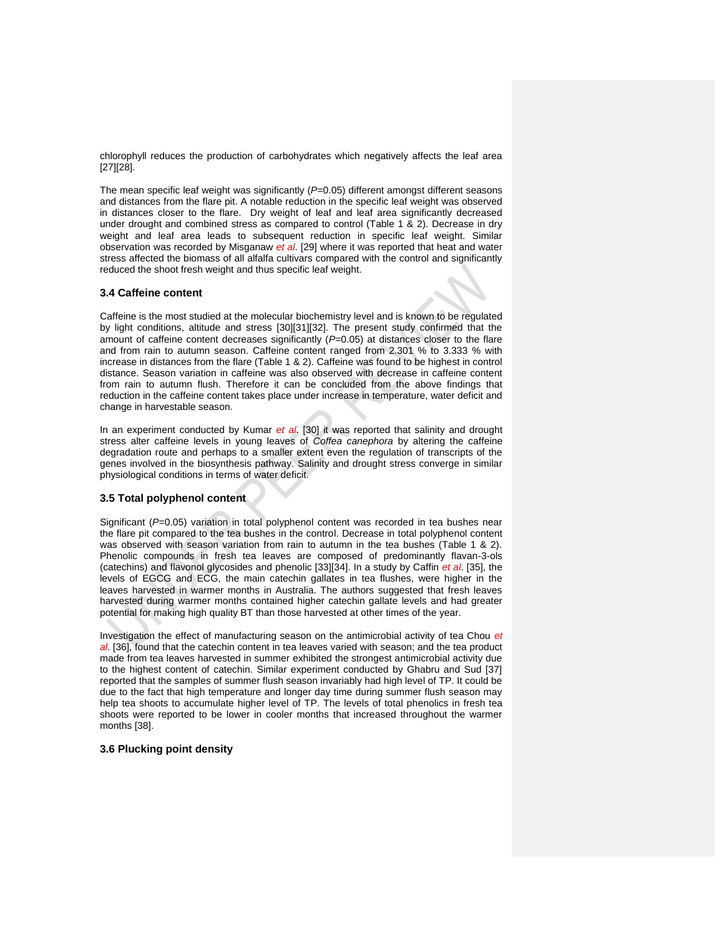chlorophyll reduces the production of carbohydrates which negatively affects the leaf area [27][28].

The mean specific leaf weight was significantly ( $P=0.05$ ) different amongst different seasons and distances from the flare pit. A notable reduction in the specific leaf weight was observed in distances closer to the flare. Dry weight of leaf and leaf area significantly decreased under drought and combined stress as compared to control (Table 1 & 2). Decrease in dry weight and leaf area leads to subsequent reduction in specific leaf weight. Similar observation was recorded by Misganaw *et al*. [29] where it was reported that heat and water stress affected the biomass of all alfalfa cultivars compared with the control and significantly reduced the shoot fresh weight and thus specific leaf weight.

### **3.4 Caffeine content**

Caffeine is the most studied at the molecular biochemistry level and is known to be regulated by light conditions, altitude and stress [30][31][32]. The present study confirmed that the amount of caffeine content decreases significantly (*P*=0.05) at distances closer to the flare and from rain to autumn season. Caffeine content ranged from 2.301 % to 3.333 % with increase in distances from the flare (Table 1 & 2). Caffeine was found to be highest in control distance. Season variation in caffeine was also observed with decrease in caffeine content from rain to autumn flush. Therefore it can be concluded from the above findings that reduction in the caffeine content takes place under increase in temperature, water deficit and change in harvestable season.

In an experiment conducted by Kumar *et al*. [30] it was reported that salinity and drought stress alter caffeine levels in young leaves of *Coffea canephora* by altering the caffeine degradation route and perhaps to a smaller extent even the regulation of transcripts of the genes involved in the biosynthesis pathway. Salinity and drought stress converge in similar physiological conditions in terms of water deficit.

#### **3.5 Total polyphenol content**

Significant (*P*=0.05) variation in total polyphenol content was recorded in tea bushes near the flare pit compared to the tea bushes in the control. Decrease in total polyphenol content was observed with season variation from rain to autumn in the tea bushes (Table 1 & 2). Phenolic compounds in fresh tea leaves are composed of predominantly flavan-3-ols (catechins) and flavonol glycosides and phenolic [33][34]. In a study by Caffin *et al*. [35], the levels of EGCG and ECG, the main catechin gallates in tea flushes, were higher in the leaves harvested in warmer months in Australia. The authors suggested that fresh leaves harvested during warmer months contained higher catechin gallate levels and had greater potential for making high quality BT than those harvested at other times of the year.

Investigation the effect of manufacturing season on the antimicrobial activity of tea Chou *et al*. [36], found that the catechin content in tea leaves varied with season; and the tea product made from tea leaves harvested in summer exhibited the strongest antimicrobial activity due to the highest content of catechin. Similar experiment conducted by Ghabru and Sud [37] reported that the samples of summer flush season invariably had high level of TP. It could be due to the fact that high temperature and longer day time during summer flush season may help tea shoots to accumulate higher level of TP. The levels of total phenolics in fresh tea shoots were reported to be lower in cooler months that increased throughout the warmer months [38].

#### **3.6 Plucking point density**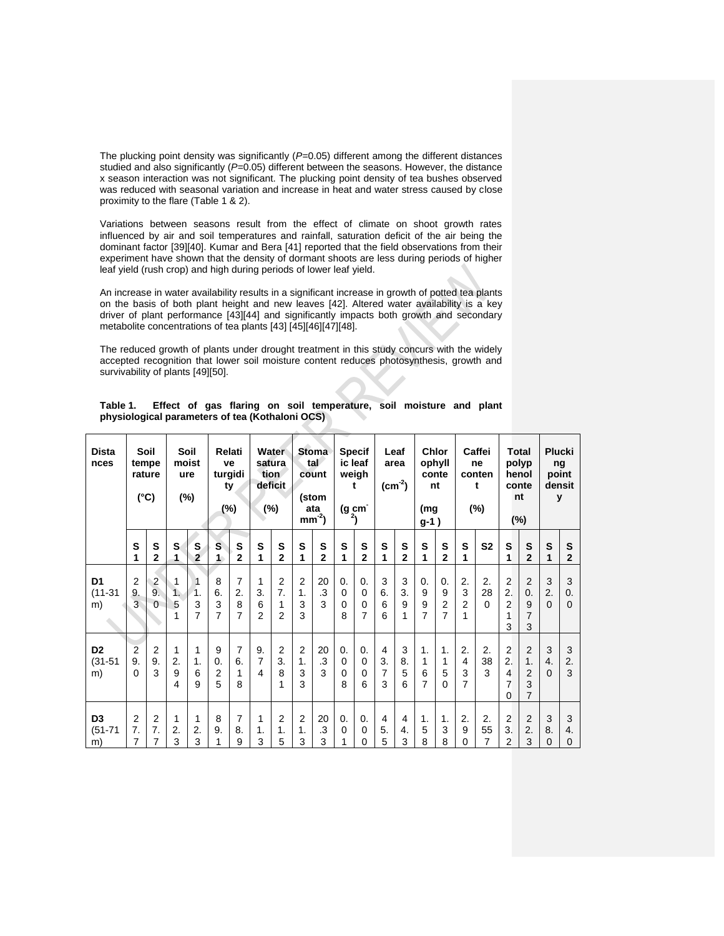The plucking point density was significantly ( $P=0.05$ ) different among the different distances studied and also significantly (P=0.05) different between the seasons. However, the distance x season interaction was not significant. The plucking point density of tea bushes observed was reduced with seasonal variation and increase in heat and water stress caused by close proximity to the flare (Table 1 & 2).

Variations between seasons result from the effect of climate on shoot growth rates influenced by air and soil temperatures and rainfall, saturation deficit of the air being the dominant factor [39][40]. Kumar and Bera [41] reported that the field observations from their experiment have shown that the density of dormant shoots are less during periods of higher leaf yield (rush crop) and high during periods of lower leaf yield.

An increase in water availability results in a significant increase in growth of potted tea plants on the basis of both plant height and new leaves [42]. Altered water availability is a key driver of plant performance [43][44] and significantly impacts both growth and secondary metabolite concentrations of tea plants [43] [45][46][47][48].

The reduced growth of plants under drought treatment in this study concurs with the widely accepted recognition that lower soil moisture content reduces photosynthesis, growth and survivability of plants [49][50].

| <b>Dista</b><br>nces                | Soil<br>tempe<br>rature<br>$(^{\circ}C)$ |                                  | Soil<br>moist<br>ure<br>$(\%)$ |                     | Relati<br>ve<br>turgidi<br>ty<br>$(\%)$ |                   | Water<br>satura<br>tion<br>deficit<br>(%) |                                             | <b>Stoma</b><br>tal<br>count<br>(stom<br>ata<br>$mm-2$ |                      | <b>Specif</b><br>ic leaf<br>weigh<br>t<br>(g cm̄<br><sup>2</sup> ) |                                    | Leaf<br>area<br>$(cm-2)$       |                   | <b>Chlor</b><br>ophyll<br>conte<br>nt<br>(mg<br>$g-1)$ |                                             | Caffei<br>ne<br>conten<br>t<br>$(\%)$ |                            | Total<br>polyp<br>henol<br>conte<br>nt<br>$(\%)$ |                                                               | <b>Plucki</b><br>ng<br>point<br>densit<br>у |                         |
|-------------------------------------|------------------------------------------|----------------------------------|--------------------------------|---------------------|-----------------------------------------|-------------------|-------------------------------------------|---------------------------------------------|--------------------------------------------------------|----------------------|--------------------------------------------------------------------|------------------------------------|--------------------------------|-------------------|--------------------------------------------------------|---------------------------------------------|---------------------------------------|----------------------------|--------------------------------------------------|---------------------------------------------------------------|---------------------------------------------|-------------------------|
|                                     | S<br>1                                   | S<br>$\overline{2}$              | S<br>$\mathbf{1}$              | S<br>$\overline{2}$ | S<br>1                                  | S<br>$\mathbf{2}$ | S<br>1                                    | S<br>$\mathbf{2}$                           | S<br>1                                                 | S<br>$\overline{2}$  | S<br>1                                                             | S<br>$\mathbf{2}$                  | S<br>1                         | S<br>$\mathbf{2}$ | S<br>1                                                 | S<br>$\mathbf{2}$                           | S<br>1                                | S <sub>2</sub>             | S<br>1                                           | S<br>$\overline{2}$                                           | $\mathbf{s}$<br>1                           | S<br>$\overline{2}$     |
| D <sub>1</sub><br>$(11 - 31)$<br>m) | 2<br>9.<br>3                             | $\overline{2}$<br>9.<br>$\Omega$ | $\overline{1}$<br>1.<br>5      | 1.<br>3<br>7        | 8<br>6.<br>3<br>7                       | 7<br>2.<br>8<br>7 | 1<br>3.<br>6<br>$\overline{2}$            | $\overline{2}$<br>7.<br>1<br>$\overline{2}$ | $\overline{2}$<br>1.<br>3<br>3                         | 20<br>$\cdot$ 3<br>3 | 0.<br>$\Omega$<br>0<br>8                                           | $\mathbf{0}$<br>$\Omega$<br>0<br>7 | 3<br>6.<br>6<br>6              | 3<br>3.<br>9<br>1 | 0.<br>9<br>9<br>7                                      | 0.<br>9<br>$\overline{2}$<br>$\overline{7}$ | 2.<br>3<br>2<br>1                     | 2.<br>28<br>$\Omega$       | $\overline{2}$<br>2.<br>$\overline{2}$<br>3      | $\overline{2}$<br>0.<br>9<br>7<br>3                           | 3<br>2.<br>$\Omega$                         | 3<br>0.<br>$\mathbf{0}$ |
| D <sub>2</sub><br>$(31 - 51)$<br>m) | $\overline{2}$<br>9.<br>0                | 2<br>9.<br>3                     | 1<br>2.<br>9<br>4              | 1<br>1.<br>6<br>9   | 9<br>0.<br>$\overline{2}$<br>5          | 7<br>6.<br>1<br>8 | 9.<br>7<br>4                              | $\overline{2}$<br>3.<br>8<br>1              | $\overline{2}$<br>1.<br>3<br>3                         | 20<br>.3<br>3        | 0.<br>$\mathbf 0$<br>$\Omega$<br>8                                 | 0.<br>0<br>0<br>6                  | $\overline{4}$<br>3.<br>7<br>3 | 3<br>8.<br>5<br>6 | 1.<br>1<br>6<br>7                                      | 1.<br>1<br>5<br>$\Omega$                    | 2.<br>4<br>3<br>7                     | 2.<br>38<br>3              | $\overline{2}$<br>2.<br>4<br>7<br>0              | $\overline{2}$<br>1.<br>$\overline{2}$<br>3<br>$\overline{7}$ | 3<br>4.<br>$\Omega$                         | 3<br>2.<br>3            |
| D <sub>3</sub><br>$(51 - 71)$<br>m) | $\overline{2}$<br>7.<br>7                | $\overline{2}$<br>7.<br>7        | 1<br>2.<br>3                   | 1<br>2.<br>3        | 8<br>9.<br>1                            | 7<br>8.<br>9      | 1<br>1.<br>3                              | $\overline{2}$<br>1.<br>5                   | $\overline{2}$<br>1.<br>3                              | 20<br>.3<br>3        | 0.<br>$\mathbf 0$<br>1                                             | 0.<br>$\mathbf 0$<br>0             | 4<br>5.<br>5                   | 4<br>4.<br>3      | 1.<br>5<br>8                                           | 1.<br>3<br>8                                | 2.<br>9<br>0                          | 2.<br>55<br>$\overline{7}$ | $\overline{2}$<br>3.<br>$\overline{2}$           | $\overline{2}$<br>2.<br>3                                     | 3<br>8.<br>$\mathbf 0$                      | 3<br>4.<br>0            |

**Table 1. Effect of gas flaring on soil temperature, soil moisture and plant physiological parameters of tea (Kothaloni OCS)**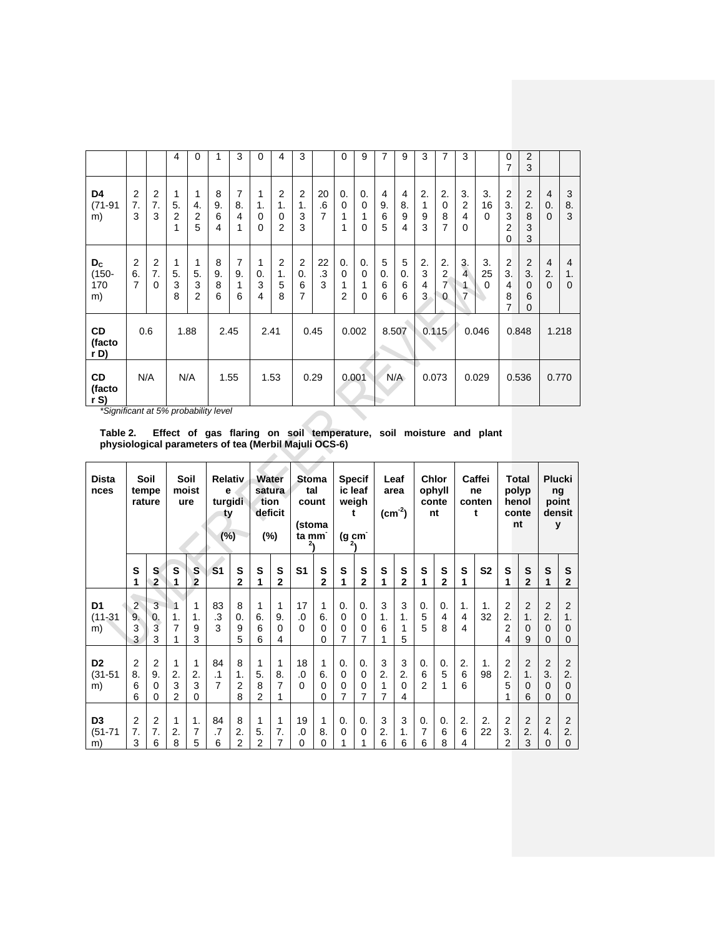|                                  |                           |                                  | 4                              | 0                 | 1                 | 3                 | 0                                  | 4                              | 3                                                     |               | 0                           | 9                                  | 7                 | 9                                                    | 3                 | 7                                                  | 3                                     |                      | 0<br>7                                           | 2<br>3                                            |                                     |              |
|----------------------------------|---------------------------|----------------------------------|--------------------------------|-------------------|-------------------|-------------------|------------------------------------|--------------------------------|-------------------------------------------------------|---------------|-----------------------------|------------------------------------|-------------------|------------------------------------------------------|-------------------|----------------------------------------------------|---------------------------------------|----------------------|--------------------------------------------------|---------------------------------------------------|-------------------------------------|--------------|
| D4<br>$(71-91)$<br>m)            | 2<br>7.<br>3              | $\overline{2}$<br>7.<br>3        | 1<br>5.<br>$\overline{2}$<br>1 | 1<br>4.<br>2<br>5 | 8<br>9.<br>6<br>4 | 7<br>8.<br>4<br>1 | 1<br>1.<br>$\mathbf 0$<br>$\Omega$ | 2<br>1.<br>$\Omega$<br>2       | $\overline{2}$<br>1.<br>3<br>3                        | 20<br>.6<br>7 | 0.<br>$\Omega$<br>1<br>1    | 0.<br>$\mathbf 0$<br>1<br>$\Omega$ | 4<br>9.<br>6<br>5 | $\overline{4}$<br>8.<br>9<br>$\overline{\mathbf{4}}$ | 2.<br>1<br>9<br>3 | 2.<br>$\mathbf 0$<br>8<br>7                        | 3.<br>$\overline{2}$<br>4<br>$\Omega$ | 3.<br>16<br>$\Omega$ | $\overline{2}$<br>3.<br>3<br>$\overline{2}$<br>0 | $\overline{2}$<br>2.<br>8<br>3<br>3               | $\overline{4}$<br>0.<br>$\Omega$    | 3<br>8.<br>3 |
| $D_{C}$<br>$(150 -$<br>170<br>m) | $\overline{2}$<br>6.<br>7 | $\overline{2}$<br>7.<br>$\Omega$ | 1<br>5.<br>3<br>8              | 1<br>5.<br>3<br>2 | 8<br>9.<br>8<br>6 | 7<br>9.<br>1<br>6 | $\mathbf{1}$<br>0.<br>3<br>4       | $\overline{2}$<br>1.<br>5<br>8 | $\overline{2}$<br>$\mathbf{0}$<br>6<br>$\overline{7}$ | 22<br>.3<br>3 | 0.<br>$\mathbf 0$<br>1<br>2 | 0.<br>$\mathbf 0$<br>1<br>$\Omega$ | 5<br>0.<br>6<br>6 | 5<br>0.<br>6<br>6                                    | 2.<br>3<br>4<br>3 | 2.<br>$\overline{2}$<br>$\overline{7}$<br>$\Omega$ | 3.<br>$\overline{4}$<br>1<br>7        | 3.<br>25<br>$\Omega$ | $\overline{\mathbf{c}}$<br>3.<br>4<br>8<br>7     | $\overline{2}$<br>3.<br>$\Omega$<br>6<br>$\Omega$ | $\overline{4}$<br>2.<br>$\mathbf 0$ | 4<br>1.<br>0 |
| <b>CD</b><br>(facto<br>r D)      | 0.6                       |                                  | 1.88                           |                   | 2.45              |                   | 2.41                               |                                | 0.45                                                  |               | 0.002                       |                                    |                   | 8.507                                                |                   | 0.115                                              |                                       | 0.046                |                                                  | 0.848                                             | 1.218                               |              |
| <b>CD</b><br>(facto<br>rS        | N/A                       |                                  | N/A                            |                   | 1.55              |                   | 1.53                               |                                | 0.29                                                  |               |                             | 0.001                              |                   | N/A                                                  |                   | 0.073                                              | 0.029                                 |                      | 0.536                                            |                                                   | 0.770                               |              |

*\*Significant at 5% probability level*

**Table 2. Effect of gas flaring on soil temperature, soil moisture and plant physiological parameters of tea (Merbil Majuli OCS-6)**

| <b>Dista</b><br>nces                | Soil<br>tempe<br>rature        |                                       | Soil<br>moist<br>ure      |                                          | <b>Relativ</b><br>e<br>turgidi<br>ty<br>(%) |                                | Water<br>satura<br>tion<br>deficit<br>$(\%)$ |                          | Stoma<br>tal<br>count<br>(stoma<br>ta mm<br>2۱ |                     | <b>Specif</b><br>ic leaf<br>weigh<br>t<br>$(g \, cm)$<br>z۱ |                             | Leaf<br>area<br>$(cm-2)$ |                     | <b>Chlor</b><br>ophyll<br>conte<br>nt |                         | Caffei<br>ne<br>conten<br>t |                | <b>Total</b><br>polyp<br>henol<br>conte<br>nt |                                | <b>Plucki</b><br>ng<br>point<br>densit<br>у |                                |
|-------------------------------------|--------------------------------|---------------------------------------|---------------------------|------------------------------------------|---------------------------------------------|--------------------------------|----------------------------------------------|--------------------------|------------------------------------------------|---------------------|-------------------------------------------------------------|-----------------------------|--------------------------|---------------------|---------------------------------------|-------------------------|-----------------------------|----------------|-----------------------------------------------|--------------------------------|---------------------------------------------|--------------------------------|
|                                     | S<br>1                         | S<br>$\overline{2}$                   | S                         | S<br>$\overline{2}$                      | S <sub>1</sub>                              | S<br>$\overline{2}$            | S<br>1                                       | S<br>$\mathbf{2}$        | S <sub>1</sub>                                 | S<br>$\overline{2}$ | S<br>1                                                      | S<br>$\overline{2}$         | S<br>1                   | S<br>$\overline{2}$ | S<br>1                                | S<br>$\overline{2}$     | S<br>1                      | S <sub>2</sub> | S<br>1                                        | S<br>$\overline{2}$            | S<br>1                                      | S<br>$\mathbf{2}$              |
| D <sub>1</sub><br>$(11 - 31)$<br>m) | 2<br>9.<br>3<br>3              | 3<br>$\overline{0}$ .<br>3<br>3       | $\overline{1}$<br>1.<br>7 | $\mathbf{1}$<br>$\mathbf{1}$ .<br>9<br>3 | 83<br>.3<br>3                               | 8<br>0.<br>9<br>5              | 1<br>6.<br>6<br>6                            | 1<br>9.<br>$\Omega$<br>4 | 17<br>0.<br>$\Omega$                           | 1<br>6.<br>0<br>0   | 0.<br>$\Omega$<br>0<br>7                                    | $\mathbf{0}$<br>0<br>0<br>7 | 3<br>1.<br>6<br>1        | 3<br>1.<br>1<br>5   | 0.<br>5<br>5                          | 0.<br>4<br>8            | 1.<br>$\overline{4}$<br>4   | 1.<br>32       | $\overline{2}$<br>2.<br>$\overline{2}$<br>4   | $\overline{2}$<br>1.<br>0<br>9 | $\overline{2}$<br>2.<br>0<br>0              | $\overline{2}$<br>1.<br>0<br>0 |
| D <sub>2</sub><br>$(31 - 51)$<br>m) | $\overline{2}$<br>8.<br>6<br>6 | $\overline{2}$<br>9.<br>$\Omega$<br>0 | 1<br>2.<br>3<br>2         | $\mathbf{1}$<br>2.<br>3<br>0             | 84<br>$\cdot$ 1<br>$\overline{7}$           | 8<br>1.<br>$\overline{2}$<br>8 | 1<br>5.<br>8<br>$\overline{2}$               | 1<br>8.<br>7             | 18<br>0.<br>$\Omega$                           | 1<br>6.<br>0<br>0   | 0.<br>$\mathbf 0$<br>$\Omega$<br>7                          | $\mathbf{0}$<br>0<br>0<br>7 | 3<br>2.<br>1<br>7        | 3<br>2.<br>0<br>4   | 0.<br>6<br>$\overline{2}$             | 0.<br>5<br>$\mathbf{1}$ | 2.<br>6<br>6                | 1.<br>98       | $\overline{2}$<br>2.<br>5<br>1                | $\overline{2}$<br>1.<br>0<br>6 | $\overline{2}$<br>3.<br>0<br>0              | $\overline{2}$<br>2.<br>0<br>0 |
| D <sub>3</sub><br>$(51 - 71)$<br>m) | $\overline{2}$<br>7.<br>3      | $\overline{2}$<br>7.<br>6             | 1<br>2.<br>8              | 1.<br>$\overline{7}$<br>5                | 84<br>$\overline{.7}$<br>6                  | 8<br>2.<br>2                   | 1<br>5.<br>2                                 | 1<br>7.<br>7             | 19<br>0.<br>0                                  | 1<br>8.<br>0        | 0.<br>$\Omega$<br>1                                         | 0.<br>$\mathbf 0$<br>1      | 3<br>2.<br>6             | 3<br>1.<br>6        | 0.<br>7<br>6                          | 0.<br>6<br>8            | 2.<br>6<br>4                | 2.<br>22       | $\overline{2}$<br>3.<br>2                     | $\overline{2}$<br>2.<br>3      | $\overline{2}$<br>4.<br>0                   | 2<br>2.<br>0                   |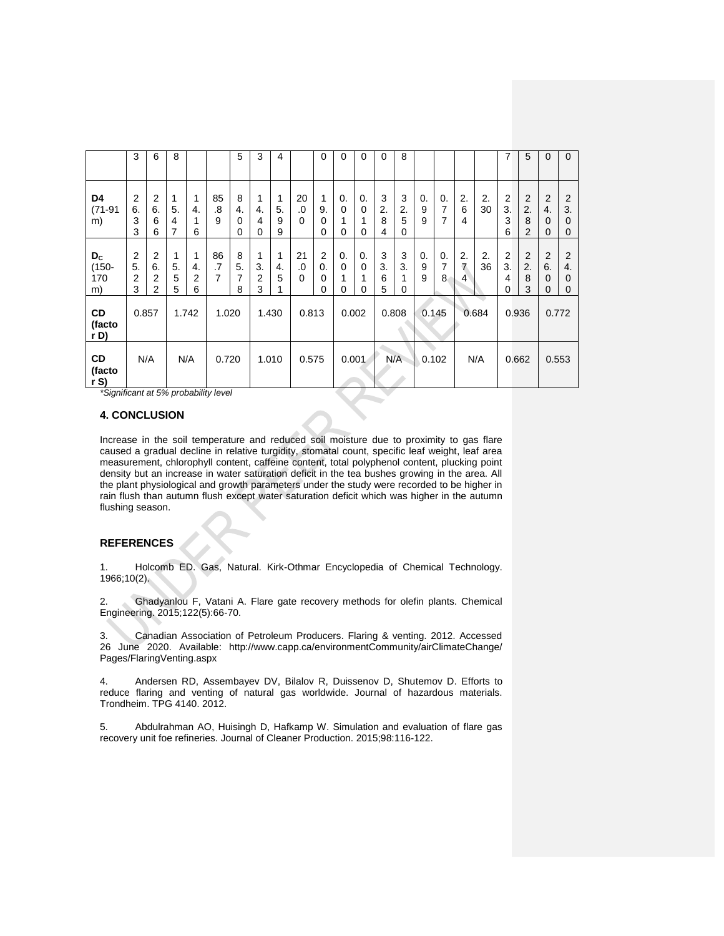|                                      | 3                                           | 6                                           | 8                 |                              |               | 5                               | 3                              | 4                 |                      | 0                              | 0                           | 0                            | $\mathbf 0$       | 8                           |              |              |              |          | 7                              | 5                                           | $\mathbf 0$                                     | $\mathbf{0}$                          |
|--------------------------------------|---------------------------------------------|---------------------------------------------|-------------------|------------------------------|---------------|---------------------------------|--------------------------------|-------------------|----------------------|--------------------------------|-----------------------------|------------------------------|-------------------|-----------------------------|--------------|--------------|--------------|----------|--------------------------------|---------------------------------------------|-------------------------------------------------|---------------------------------------|
| D4<br>$(71-91)$<br>m)                | 2<br>6.<br>3<br>3                           | $\overline{2}$<br>6.<br>6<br>6              | 1<br>5.<br>4<br>7 | $\mathbf{1}$<br>4.<br>1<br>6 | 85<br>.8<br>9 | 8<br>4.<br>$\Omega$<br>$\Omega$ | 1<br>4.<br>4<br>$\mathbf 0$    | 1<br>5.<br>9<br>9 | 20<br>.0<br>$\Omega$ | 1<br>9.<br>0<br>0              | 0.<br>0<br>1<br>0           | 0.<br>0<br>1<br>0            | 3<br>2.<br>8<br>4 | 3<br>2.<br>5<br>0           | 0.<br>9<br>9 | 0.<br>7<br>7 | 2.<br>6<br>4 | 2.<br>30 | $\overline{2}$<br>3.<br>3<br>6 | $\overline{2}$<br>2.<br>8<br>$\overline{2}$ | $\overline{2}$<br>4.<br>0<br>$\mathbf 0$        | $\overline{2}$<br>3.<br>$\Omega$<br>0 |
| $D_{\rm C}$<br>$(150 -$<br>170<br>m) | $\overline{2}$<br>5.<br>$\overline{2}$<br>3 | $\overline{2}$<br>6.<br>$\overline{2}$<br>2 | 1<br>5.<br>5<br>5 | $\mathbf{1}$<br>4.<br>2<br>6 | 86<br>.7<br>7 | 8<br>5.<br>7<br>8               | 1<br>3.<br>$\overline{2}$<br>3 | 1<br>4.<br>5<br>1 | 21<br>0.<br>$\Omega$ | $\overline{2}$<br>0.<br>0<br>0 | 0.<br>$\mathbf 0$<br>1<br>0 | 0.<br>0<br>$\mathbf{1}$<br>0 | 3<br>3.<br>6<br>5 | 3<br>3.<br>1<br>$\mathbf 0$ | 0.<br>9<br>9 | 0.<br>7<br>8 | 2.<br>7<br>4 | 2.<br>36 | $\overline{2}$<br>3.<br>4<br>0 | $\overline{2}$<br>2.<br>8<br>3              | $\overline{2}$<br>6.<br>$\Omega$<br>$\mathbf 0$ | $\overline{2}$<br>4.<br>0<br>$\Omega$ |
| CD<br>(facto<br>r D)                 | 0.857                                       |                                             | 1.742             |                              | 1.020         |                                 | 1.430                          |                   | 0.813                |                                | 0.002                       |                              | 0.808             |                             | 0.145        |              |              | 0.684    | 0.936                          |                                             | 0.772                                           |                                       |
| CD<br>(facto<br>rS                   | N/A                                         |                                             | N/A<br>0.720      |                              |               | 1.010                           | 0.575                          |                   |                      | 0.001                          |                             | N/A                          |                   | 0.102                       |              | N/A          | 0.662        |          | 0.553                          |                                             |                                                 |                                       |

*\*Significant at 5% probability level*

# **4. CONCLUSION**

Increase in the soil temperature and reduced soil moisture due to proximity to gas flare caused a gradual decline in relative turgidity, stomatal count, specific leaf weight, leaf area measurement, chlorophyll content, caffeine content, total polyphenol content, plucking point density but an increase in water saturation deficit in the tea bushes growing in the area. All the plant physiological and growth parameters under the study were recorded to be higher in rain flush than autumn flush except water saturation deficit which was higher in the autumn flushing season.

## **REFERENCES**

1. Holcomb ED. Gas, Natural. Kirk-Othmar Encyclopedia of Chemical Technology. 1966;10(2).

2. Ghadyanlou F, Vatani A. Flare gate recovery methods for olefin plants. Chemical Engineering. 2015;122(5):66-70.

3. Canadian Association of Petroleum Producers. Flaring & venting. 2012. Accessed 26 June 2020. Available: http://www.capp.ca/environmentCommunity/airClimateChange/ Pages/FlaringVenting.aspx

4. Andersen RD, Assembayev DV, Bilalov R, Duissenov D, Shutemov D. Efforts to reduce flaring and venting of natural gas worldwide. Journal of hazardous materials. Trondheim. TPG 4140. 2012.

5. Abdulrahman AO, Huisingh D, Hafkamp W. Simulation and evaluation of flare gas recovery unit foe refineries. Journal of Cleaner Production. 2015;98:116-122.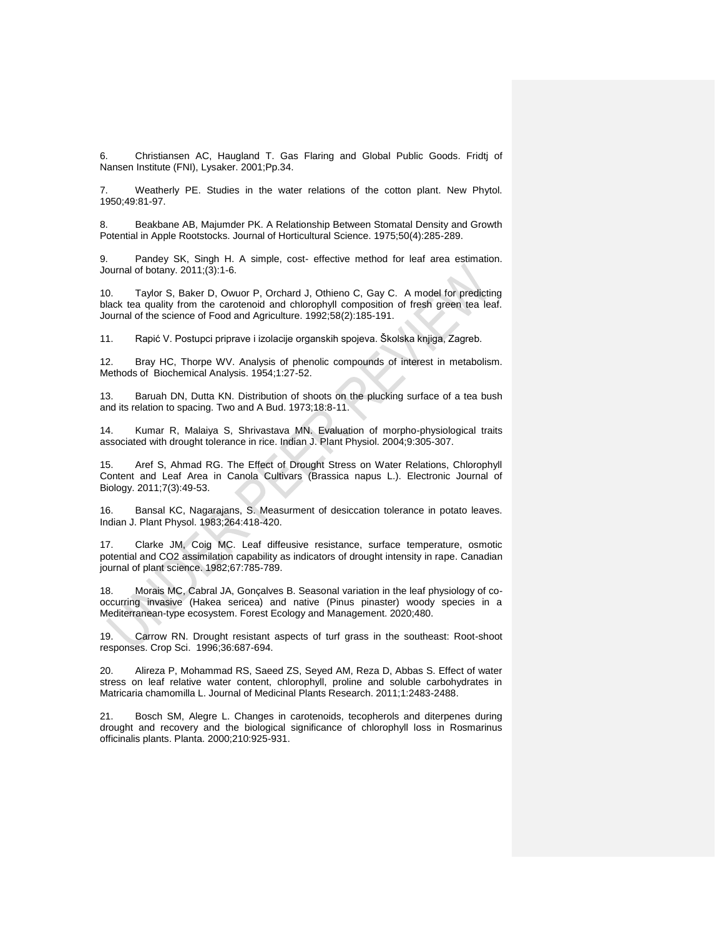6. Christiansen AC, Haugland T. Gas Flaring and Global Public Goods. Fridtj of Nansen Institute (FNI), Lysaker. 2001;Pp.34.

Weatherly PE. Studies in the water relations of the cotton plant. New Phytol. 1950;49:81-97.

8. Beakbane AB, Majumder PK. A Relationship Between Stomatal Density and Growth Potential in Apple Rootstocks. Journal of Horticultural Science. 1975;50(4):285-289.

9. Pandey SK, Singh H. A simple, cost- effective method for leaf area estimation. Journal of botany. 2011;(3):1-6.

10. Taylor S, Baker D, Owuor P, Orchard J, Othieno C, Gay C. A model for predicting black tea quality from the carotenoid and chlorophyll composition of fresh green tea leaf. Journal of the science of Food and Agriculture. 1992;58(2):185-191.

11. Rapić V. Postupci priprave i izolacije organskih spojeva. Školska knjiga, Zagreb.

12. Bray HC, Thorpe WV. Analysis of phenolic compounds of interest in metabolism. Methods of Biochemical Analysis. 1954;1:27-52.

13. Baruah DN, Dutta KN. Distribution of shoots on the plucking surface of a tea bush and its relation to spacing. Two and A Bud. 1973;18:8-11.

14. Kumar R, Malaiya S, Shrivastava MN. Evaluation of morpho-physiological traits associated with drought tolerance in rice. Indian J. Plant Physiol. 2004;9:305-307.

15. Aref S, Ahmad RG. The Effect of Drought Stress on Water Relations, Chlorophyll Content and Leaf Area in Canola Cultivars (Brassica napus L.). Electronic Journal of Biology. 2011;7(3):49-53.

16. Bansal KC, Nagarajans, S. Measurment of desiccation tolerance in potato leaves. Indian J. Plant Physol. 1983;264:418-420.

17. Clarke JM, Coig MC. Leaf diffeusive resistance, surface temperature, osmotic potential and CO2 assimilation capability as indicators of drought intensity in rape. Canadian journal of plant science. 1982;67:785-789.

18. Morais MC, Cabral JA, Gonçalves B. Seasonal variation in the leaf physiology of cooccurring invasive (Hakea sericea) and native (Pinus pinaster) woody species in a Mediterranean-type ecosystem. Forest Ecology and Management. 2020;480.

19. Carrow RN. Drought resistant aspects of turf grass in the southeast: Root-shoot responses. Crop Sci. 1996;36:687-694.

20. Alireza P, Mohammad RS, Saeed ZS, Seyed AM, Reza D, Abbas S. Effect of water stress on leaf relative water content, chlorophyll, proline and soluble carbohydrates in Matricaria chamomilla L. Journal of Medicinal Plants Research. 2011;1:2483-2488.

21. Bosch SM, Alegre L. Changes in carotenoids, tecopherols and diterpenes during drought and recovery and the biological significance of chlorophyll loss in Rosmarinus officinalis plants. Planta. 2000;210:925-931.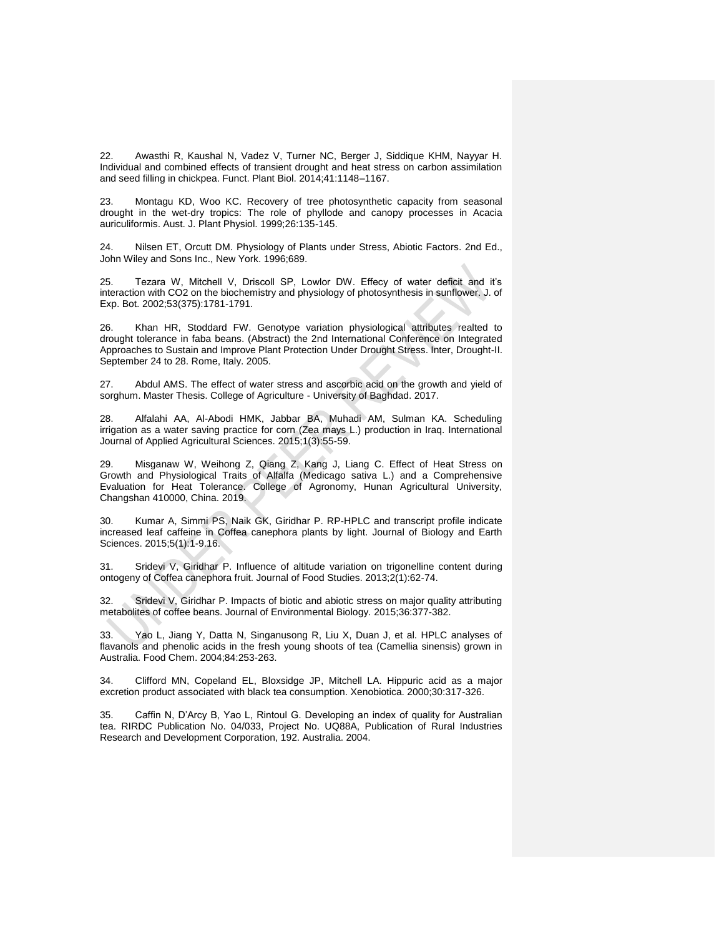22. Awasthi R, Kaushal N, Vadez V, Turner NC, Berger J, Siddique KHM, Nayyar H. Individual and combined effects of transient drought and heat stress on carbon assimilation and seed filling in chickpea. Funct. Plant Biol. 2014;41:1148–1167.

23. Montagu KD, Woo KC. Recovery of tree photosynthetic capacity from seasonal drought in the wet-dry tropics: The role of phyllode and canopy processes in Acacia auriculiformis. Aust. J. Plant Physiol. 1999;26:135-145.

24. Nilsen ET, Orcutt DM. Physiology of Plants under Stress, Abiotic Factors. 2nd Ed., John Wiley and Sons Inc., New York. 1996;689.

25. Tezara W, Mitchell V, Driscoll SP, Lowlor DW. Effecy of water deficit and it's interaction with CO2 on the biochemistry and physiology of photosynthesis in sunflower. J. of Exp. Bot. 2002;53(375):1781-1791.

26. Khan HR, Stoddard FW. Genotype variation physiological attributes realted to drought tolerance in faba beans. (Abstract) the 2nd International Conference on Integrated Approaches to Sustain and Improve Plant Protection Under Drought Stress. Inter, Drought-II. September 24 to 28. Rome, Italy. 2005.

27. Abdul AMS. The effect of water stress and ascorbic acid on the growth and yield of sorghum. Master Thesis. College of Agriculture - University of Baghdad. 2017.

Alfalahi AA, Al-Abodi HMK, Jabbar BA, Muhadi AM, Sulman KA. Scheduling irrigation as a water saving practice for corn (Zea mays L.) production in Iraq. International Journal of Applied Agricultural Sciences. 2015;1(3):55-59.

29. Misganaw W, Weihong Z, Qiang Z, Kang J, Liang C. Effect of Heat Stress on Growth and Physiological Traits of Alfalfa (Medicago sativa L.) and a Comprehensive Evaluation for Heat Tolerance. College of Agronomy, Hunan Agricultural University, Changshan 410000, China. 2019.

Kumar A, Simmi PS, Naik GK, Giridhar P. RP-HPLC and transcript profile indicate increased leaf caffeine in Coffea canephora plants by light. Journal of Biology and Earth Sciences. 2015;5(1):1-9.16.

31. Sridevi V, Giridhar P. Influence of altitude variation on trigonelline content during ontogeny of Coffea canephora fruit. Journal of Food Studies. 2013;2(1):62-74.

32. Sridevi V, Giridhar P. Impacts of biotic and abiotic stress on major quality attributing metabolites of coffee beans. Journal of Environmental Biology. 2015;36:377-382.

33. Yao L, Jiang Y, Datta N, Singanusong R, Liu X, Duan J, et al. HPLC analyses of flavanols and phenolic acids in the fresh young shoots of tea (Camellia sinensis) grown in Australia. Food Chem. 2004;84:253-263.

34. Clifford MN, Copeland EL, Bloxsidge JP, Mitchell LA. Hippuric acid as a major excretion product associated with black tea consumption. Xenobiotica. 2000;30:317-326.

35. Caffin N, D'Arcy B, Yao L, Rintoul G. Developing an index of quality for Australian tea. RIRDC Publication No. 04/033, Project No. UQ88A, Publication of Rural Industries Research and Development Corporation, 192. Australia. 2004.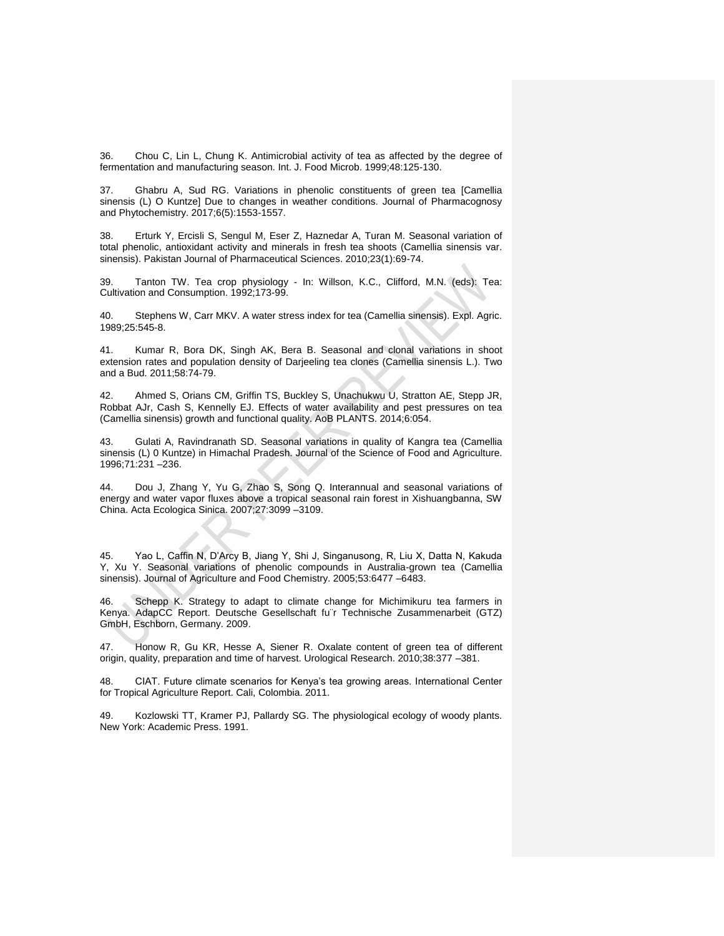36. Chou C, Lin L, Chung K. Antimicrobial activity of tea as affected by the degree of fermentation and manufacturing season. Int. J. Food Microb. 1999;48:125-130.

37. Ghabru A, Sud RG. Variations in phenolic constituents of green tea [Camellia sinensis (L) O Kuntze] Due to changes in weather conditions. Journal of Pharmacognosy and Phytochemistry. 2017;6(5):1553-1557.

38. Erturk Y, Ercisli S, Sengul M, Eser Z, Haznedar A, Turan M. Seasonal variation of total phenolic, antioxidant activity and minerals in fresh tea shoots (Camellia sinensis var. sinensis). Pakistan Journal of Pharmaceutical Sciences. 2010;23(1):69-74.

39. Tanton TW. Tea crop physiology - In: Willson, K.C., Clifford, M.N. (eds): Tea: Cultivation and Consumption. 1992;173-99.

40. Stephens W, Carr MKV. A water stress index for tea (Camellia sinensis). Expl. Agric. 1989;25:545-8.

41. Kumar R, Bora DK, Singh AK, Bera B. Seasonal and clonal variations in shoot extension rates and population density of Darjeeling tea clones (Camellia sinensis L.). Two and a Bud. 2011;58:74-79.

42. Ahmed S, Orians CM, Griffin TS, Buckley S, Unachukwu U, Stratton AE, Stepp JR, Robbat AJr, Cash S, Kennelly EJ. Effects of water availability and pest pressures on tea (Camellia sinensis) growth and functional quality. AoB PLANTS. 2014;6:054.

43. Gulati A, Ravindranath SD. Seasonal variations in quality of Kangra tea (Camellia sinensis (L) 0 Kuntze) in Himachal Pradesh. Journal of the Science of Food and Agriculture. 1996;71:231 –236.

44. Dou J, Zhang Y, Yu G, Zhao S, Song Q. Interannual and seasonal variations of energy and water vapor fluxes above a tropical seasonal rain forest in Xishuangbanna, SW China. Acta Ecologica Sinica. 2007;27:3099 –3109.

45. Yao L, Caffin N, D'Arcy B, Jiang Y, Shi J, Singanusong, R, Liu X, Datta N, Kakuda Y, Xu Y. Seasonal variations of phenolic compounds in Australia-grown tea (Camellia sinensis). Journal of Agriculture and Food Chemistry. 2005;53:6477 –6483.

46. Schepp K. Strategy to adapt to climate change for Michimikuru tea farmers in Kenya. AdapCC Report. Deutsche Gesellschaft fu¨r Technische Zusammenarbeit (GTZ) GmbH, Eschborn, Germany. 2009.

47. Honow R, Gu KR, Hesse A, Siener R. Oxalate content of green tea of different origin, quality, preparation and time of harvest. Urological Research. 2010;38:377 –381.

48. CIAT. Future climate scenarios for Kenya's tea growing areas. International Center for Tropical Agriculture Report. Cali, Colombia. 2011.

49. Kozlowski TT, Kramer PJ, Pallardy SG. The physiological ecology of woody plants. New York: Academic Press. 1991.